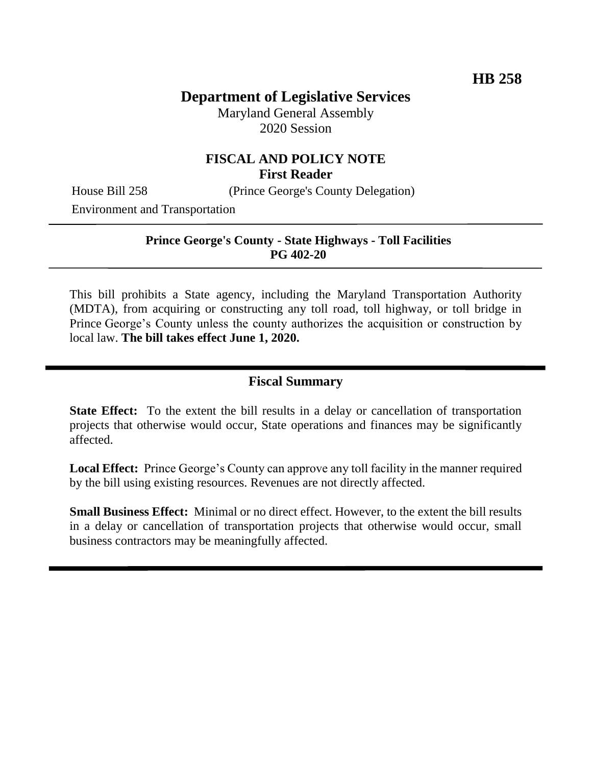# **Department of Legislative Services**

Maryland General Assembly 2020 Session

## **FISCAL AND POLICY NOTE First Reader**

House Bill 258 (Prince George's County Delegation)

Environment and Transportation

### **Prince George's County - State Highways - Toll Facilities PG 402-20**

This bill prohibits a State agency, including the Maryland Transportation Authority (MDTA), from acquiring or constructing any toll road, toll highway, or toll bridge in Prince George's County unless the county authorizes the acquisition or construction by local law. **The bill takes effect June 1, 2020.** 

### **Fiscal Summary**

**State Effect:** To the extent the bill results in a delay or cancellation of transportation projects that otherwise would occur, State operations and finances may be significantly affected.

**Local Effect:** Prince George's County can approve any toll facility in the manner required by the bill using existing resources. Revenues are not directly affected.

**Small Business Effect:** Minimal or no direct effect. However, to the extent the bill results in a delay or cancellation of transportation projects that otherwise would occur, small business contractors may be meaningfully affected.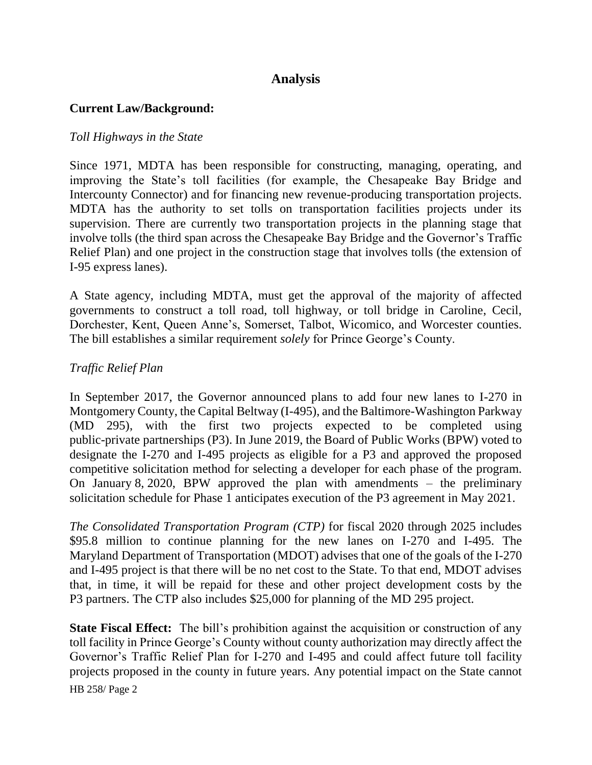## **Analysis**

### **Current Law/Background:**

### *Toll Highways in the State*

Since 1971, MDTA has been responsible for constructing, managing, operating, and improving the State's toll facilities (for example, the Chesapeake Bay Bridge and Intercounty Connector) and for financing new revenue-producing transportation projects. MDTA has the authority to set tolls on transportation facilities projects under its supervision. There are currently two transportation projects in the planning stage that involve tolls (the third span across the Chesapeake Bay Bridge and the Governor's Traffic Relief Plan) and one project in the construction stage that involves tolls (the extension of I-95 express lanes).

A State agency, including MDTA, must get the approval of the majority of affected governments to construct a toll road, toll highway, or toll bridge in Caroline, Cecil, Dorchester, Kent, Queen Anne's, Somerset, Talbot, Wicomico, and Worcester counties. The bill establishes a similar requirement *solely* for Prince George's County.

### *Traffic Relief Plan*

In September 2017, the Governor announced plans to add four new lanes to I-270 in Montgomery County, the Capital Beltway (I-495), and the Baltimore-Washington Parkway (MD 295), with the first two projects expected to be completed using public-private partnerships (P3). In June 2019, the Board of Public Works (BPW) voted to designate the I-270 and I-495 projects as eligible for a P3 and approved the proposed competitive solicitation method for selecting a developer for each phase of the program. On January 8, 2020, BPW approved the plan with amendments – the preliminary solicitation schedule for Phase 1 anticipates execution of the P3 agreement in May 2021.

*The Consolidated Transportation Program (CTP)* for fiscal 2020 through 2025 includes \$95.8 million to continue planning for the new lanes on I-270 and I-495. The Maryland Department of Transportation (MDOT) advises that one of the goals of the I-270 and I-495 project is that there will be no net cost to the State. To that end, MDOT advises that, in time, it will be repaid for these and other project development costs by the P3 partners. The CTP also includes \$25,000 for planning of the MD 295 project.

HB 258/ Page 2 **State Fiscal Effect:** The bill's prohibition against the acquisition or construction of any toll facility in Prince George's County without county authorization may directly affect the Governor's Traffic Relief Plan for I-270 and I-495 and could affect future toll facility projects proposed in the county in future years. Any potential impact on the State cannot